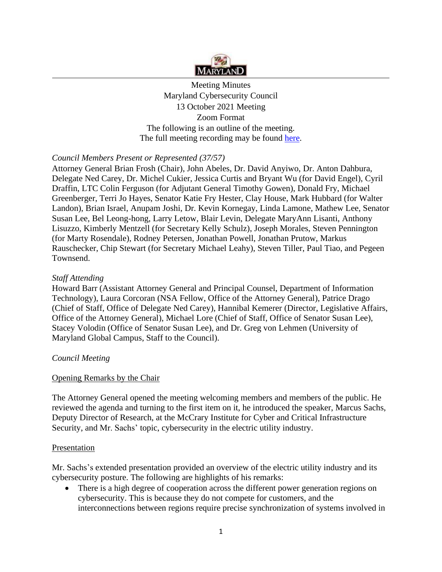

**Meeting Minutes** 13 October 2021 Meeting Meeting Minutes<br>Maryland Cybersecurity Council<br>13 October 2021 Meeting Zoom Format The following is an outline of the meeting. The full meeting recording may be found [here.](https://nam11.safelinks.protection.outlook.com/?url=https%3A%2F%2Fumuc365-my.sharepoint.com%2F%3Av%3A%2Fg%2Fpersonal%2Fnasri_saab_umgc_edu%2FEST5K3eLCz5KgeJ-xO0MacsBMmyLGXwIzBwQaywKQbVDyg%3Fe%3DFaiBWo&data=04%7C01%7CGregory.VonLehmen%40umgc.edu%7C852dbd43af53406b7cb808d98e7c74cd%7C704ce3d6a4bf4e098516d52840c9f7a9%7C0%7C0%7C637697487454597574%7CUnknown%7CTWFpbGZsb3d8eyJWIjoiMC4wLjAwMDAiLCJQIjoiV2luMzIiLCJBTiI6Ik1haWwiLCJXVCI6Mn0%3D%7C1000&sdata=LDKe6IYJzDaZYXUqkqc%2BIMq21U56I%2Bm%2B46dOgg90ics%3D&reserved=0)

## *Council Members Present or Represented (37/57)*

 Townsend. Attorney General Brian Frosh (Chair), John Abeles, Dr. David Anyiwo, Dr. Anton Dahbura, Delegate Ned Carey, Dr. Michel Cukier, Jessica Curtis and Bryant Wu (for David Engel), Cyril Draffin, LTC Colin Ferguson (for Adjutant General Timothy Gowen), Donald Fry, Michael Greenberger, Terri Jo Hayes, Senator Katie Fry Hester, Clay House, Mark Hubbard (for Walter Landon), Brian Israel, Anupam Joshi, Dr. Kevin Kornegay, Linda Lamone, Mathew Lee, Senator Susan Lee, Bel Leong-hong, Larry Letow, Blair Levin, Delegate MaryAnn Lisanti, Anthony Lisuzzo, Kimberly Mentzell (for Secretary Kelly Schulz), Joseph Morales, Steven Pennington (for Marty Rosendale), Rodney Petersen, Jonathan Powell, Jonathan Prutow, Markus Rauschecker, Chip Stewart (for Secretary Michael Leahy), Steven Tiller, Paul Tiao, and Pegeen

## *Staff Attending*

 Maryland Global Campus, Staff to the Council). Howard Barr (Assistant Attorney General and Principal Counsel, Department of Information Technology), Laura Corcoran (NSA Fellow, Office of the Attorney General), Patrice Drago (Chief of Staff, Office of Delegate Ned Carey), Hannibal Kemerer (Director, Legislative Affairs, Office of the Attorney General), Michael Lore (Chief of Staff, Office of Senator Susan Lee), Stacey Volodin (Office of Senator Susan Lee), and Dr. Greg von Lehmen (University of

# *Council Meeting*

### Opening Remarks by the Chair

The Attorney General opened the meeting welcoming members and members of the public. He reviewed the agenda and turning to the first item on it, he introduced the speaker, Marcus Sachs, Deputy Director of Research, at the McCrary Institute for Cyber and Critical Infrastructure Security, and Mr. Sachs' topic, cybersecurity in the electric utility industry.

### Presentation

Mr. Sachs's extended presentation provided an overview of the electric utility industry and its cybersecurity posture. The following are highlights of his remarks:

• There is a high degree of cooperation across the different power generation regions on cybersecurity. This is because they do not compete for customers, and the interconnections between regions require precise synchronization of systems involved in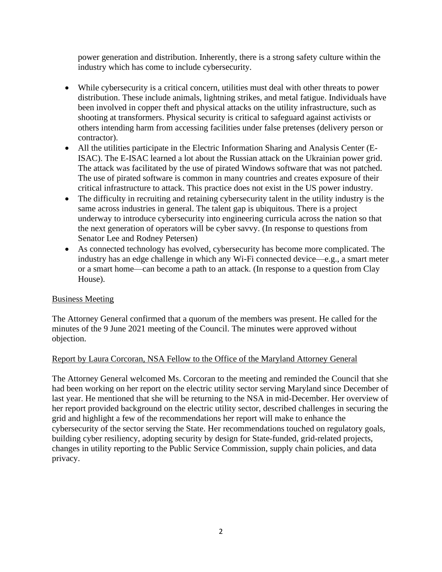power generation and distribution. Inherently, there is a strong safety culture within the industry which has come to include cybersecurity.

- distribution. These include animals, lightning strikes, and metal fatigue. Individuals have • While cybersecurity is a critical concern, utilities must deal with other threats to power been involved in copper theft and physical attacks on the utility infrastructure, such as shooting at transformers. Physical security is critical to safeguard against activists or others intending harm from accessing facilities under false pretenses (delivery person or contractor).
- • All the utilities participate in the Electric Information Sharing and Analysis Center (E-ISAC). The E-ISAC learned a lot about the Russian attack on the Ukrainian power grid. The attack was facilitated by the use of pirated Windows software that was not patched. The use of pirated software is common in many countries and creates exposure of their critical infrastructure to attack. This practice does not exist in the US power industry.
- The difficulty in recruiting and retaining cybersecurity talent in the utility industry is the same across industries in general. The talent gap is ubiquitous. There is a project underway to introduce cybersecurity into engineering curricula across the nation so that the next generation of operators will be cyber savvy. (In response to questions from Senator Lee and Rodney Petersen)
- As connected technology has evolved, cybersecurity has become more complicated. The industry has an edge challenge in which any Wi-Fi connected device—e.g., a smart meter or a smart home—can become a path to an attack. (In response to a question from Clay House).

# Business Meeting

The Attorney General confirmed that a quorum of the members was present. He called for the minutes of the 9 June 2021 meeting of the Council. The minutes were approved without objection.

# Report by Laura Corcoran, NSA Fellow to the Office of the Maryland Attorney General

 The Attorney General welcomed Ms. Corcoran to the meeting and reminded the Council that she had been working on her report on the electric utility sector serving Maryland since December of last year. He mentioned that she will be returning to the NSA in mid-December. Her overview of her report provided background on the electric utility sector, described challenges in securing the grid and highlight a few of the recommendations her report will make to enhance the cybersecurity of the sector serving the State. Her recommendations touched on regulatory goals, building cyber resiliency, adopting security by design for State-funded, grid-related projects, changes in utility reporting to the Public Service Commission, supply chain policies, and data privacy.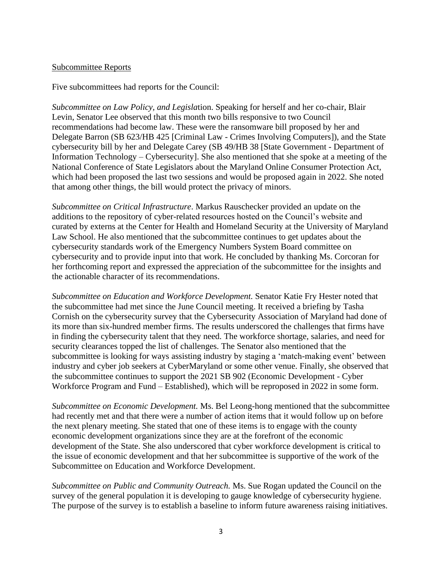#### Subcommittee Reports

Five subcommittees had reports for the Council:

*Subcommittee on Law Policy, and Legisla*tion. Speaking for herself and her co-chair, Blair Levin, Senator Lee observed that this month two bills responsive to two Council recommendations had become law. These were the ransomware bill proposed by her and Delegate Barron (SB 623/HB 425 [Criminal Law - Crimes Involving Computers]), and the State cybersecurity bill by her and Delegate Carey (SB 49/HB 38 [State Government - Department of Information Technology – Cybersecurity]. She also mentioned that she spoke at a meeting of the National Conference of State Legislators about the Maryland Online Consumer Protection Act, which had been proposed the last two sessions and would be proposed again in 2022. She noted that among other things, the bill would protect the privacy of minors.

*Subcommittee on Critical Infrastructure*. Markus Rauschecker provided an update on the additions to the repository of cyber-related resources hosted on the Council's website and curated by externs at the Center for Health and Homeland Security at the University of Maryland Law School. He also mentioned that the subcommittee continues to get updates about the cybersecurity standards work of the Emergency Numbers System Board committee on cybersecurity and to provide input into that work. He concluded by thanking Ms. Corcoran for her forthcoming report and expressed the appreciation of the subcommittee for the insights and the actionable character of its recommendations.

*Subcommittee on Education and Workforce Development.* Senator Katie Fry Hester noted that the subcommittee had met since the June Council meeting. It received a briefing by Tasha Cornish on the cybersecurity survey that the Cybersecurity Association of Maryland had done of its more than six-hundred member firms. The results underscored the challenges that firms have in finding the cybersecurity talent that they need. The workforce shortage, salaries, and need for security clearances topped the list of challenges. The Senator also mentioned that the subcommittee is looking for ways assisting industry by staging a 'match-making event' between industry and cyber job seekers at CyberMaryland or some other venue. Finally, she observed that the subcommittee continues to support the 2021 SB 902 (Economic Development - Cyber Workforce Program and Fund – Established), which will be reproposed in 2022 in some form.

*Subcommittee on Economic Development.* Ms. Bel Leong-hong mentioned that the subcommittee had recently met and that there were a number of action items that it would follow up on before the next plenary meeting. She stated that one of these items is to engage with the county economic development organizations since they are at the forefront of the economic development of the State. She also underscored that cyber workforce development is critical to the issue of economic development and that her subcommittee is supportive of the work of the Subcommittee on Education and Workforce Development.

*Subcommittee on Public and Community Outreach.* Ms. Sue Rogan updated the Council on the survey of the general population it is developing to gauge knowledge of cybersecurity hygiene. The purpose of the survey is to establish a baseline to inform future awareness raising initiatives.